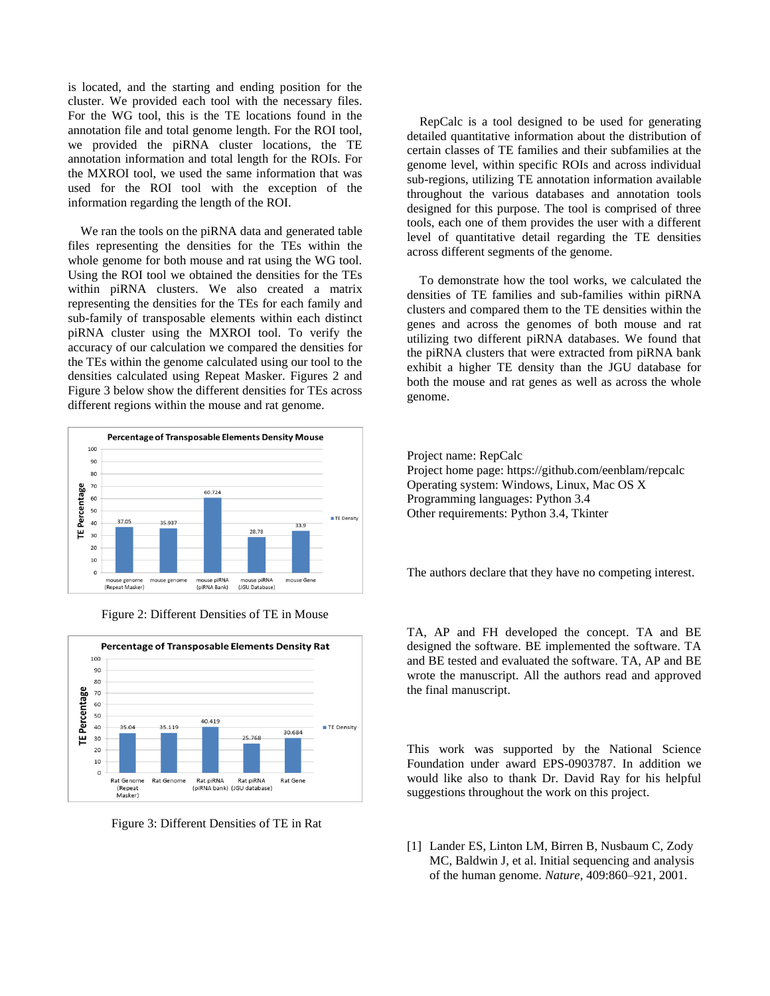is located, and the starting and ending position for the cluster. We provided each tool with the necessary files. For the WG tool, this is the TE locations found in the annotation file and total genome length. For the ROI tool, we provided the piRNA cluster locations, the TE annotation information and total length for the ROIs. For the MXROI tool, we used the same information that was used for the ROI tool with the exception of the information regarding the length of the ROI.

 We ran the tools on the piRNA data and generated table files representing the densities for the TEs within the whole genome for both mouse and rat using the WG tool. Using the ROI tool we obtained the densities for the TEs within piRNA clusters. We also created a matrix representing the densities for the TEs for each family and sub-family of transposable elements within each distinct piRNA cluster using the MXROI tool. To verify the accuracy of our calculation we compared the densities for the TEs within the genome calculated using our tool to the densities calculated using Repeat Masker. Figures 2 and Figure 3 below show the different densities for TEs across different regions within the mouse and rat genome.







Figure 3: Different Densities of TE in Rat

# **5. Conclusions**

 RepCalc is a tool designed to be used for generating detailed quantitative information about the distribution of certain classes of TE families and their subfamilies at the genome level, within specific ROIs and across individual sub-regions, utilizing TE annotation information available throughout the various databases and annotation tools designed for this purpose. The tool is comprised of three tools, each one of them provides the user with a different level of quantitative detail regarding the TE densities across different segments of the genome.

 To demonstrate how the tool works, we calculated the densities of TE families and sub-families within piRNA clusters and compared them to the TE densities within the genes and across the genomes of both mouse and rat utilizing two different piRNA databases. We found that the piRNA clusters that were extracted from piRNA bank exhibit a higher TE density than the JGU database for both the mouse and rat genes as well as across the whole genome.

#### **Availability And Requirements**

Project name: RepCalc Project home page: https://github.com/eenblam/repcalc Operating system: Windows, Linux, Mac OS X Programming languages: Python 3.4 Other requirements: Python 3.4, Tkinter

### **Competing Interests**

The authors declare that they have no competing interest.

### **Authors' Contributions**

TA, AP and FH developed the concept. TA and BE designed the software. BE implemented the software. TA and BE tested and evaluated the software. TA, AP and BE wrote the manuscript. All the authors read and approved the final manuscript.

## **Acknowledgements**

This work was supported by the National Science Foundation under award EPS-0903787. In addition we would like also to thank Dr. David Ray for his helpful suggestions throughout the work on this project.

# **References**

[1] Lander ES, Linton LM, Birren B, Nusbaum C, Zody MC, Baldwin J, et al. Initial sequencing and analysis of the human genome. *Nature*, 409:860–921, 2001.